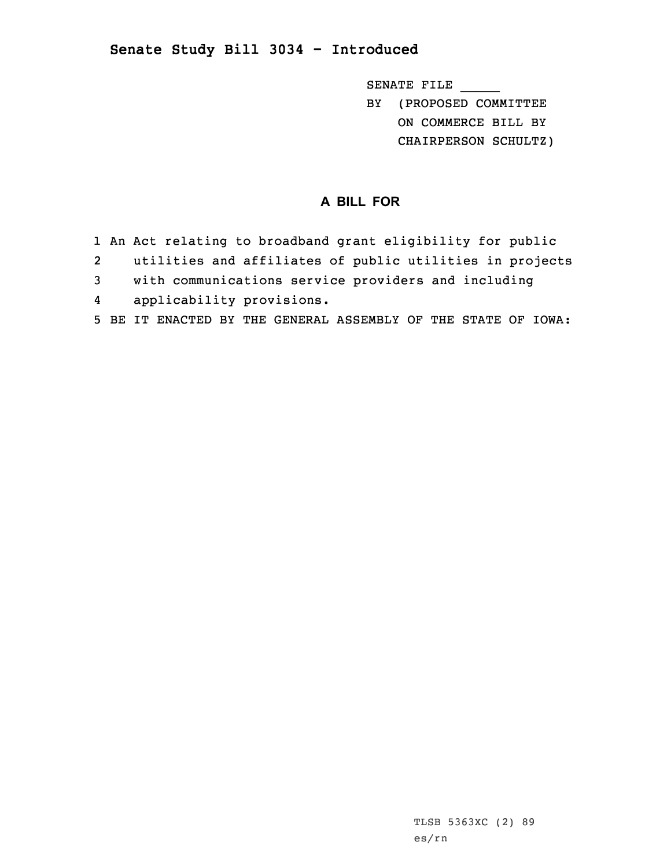## **Senate Study Bill 3034 - Introduced**

SENATE FILE \_\_\_\_\_ BY (PROPOSED COMMITTEE

ON COMMERCE BILL BY

CHAIRPERSON SCHULTZ)

## **A BILL FOR**

- 1 An Act relating to broadband grant eligibility for public
- 2utilities and affiliates of public utilities in projects
- 3 with communications service providers and including
- 4applicability provisions.
- 5 BE IT ENACTED BY THE GENERAL ASSEMBLY OF THE STATE OF IOWA: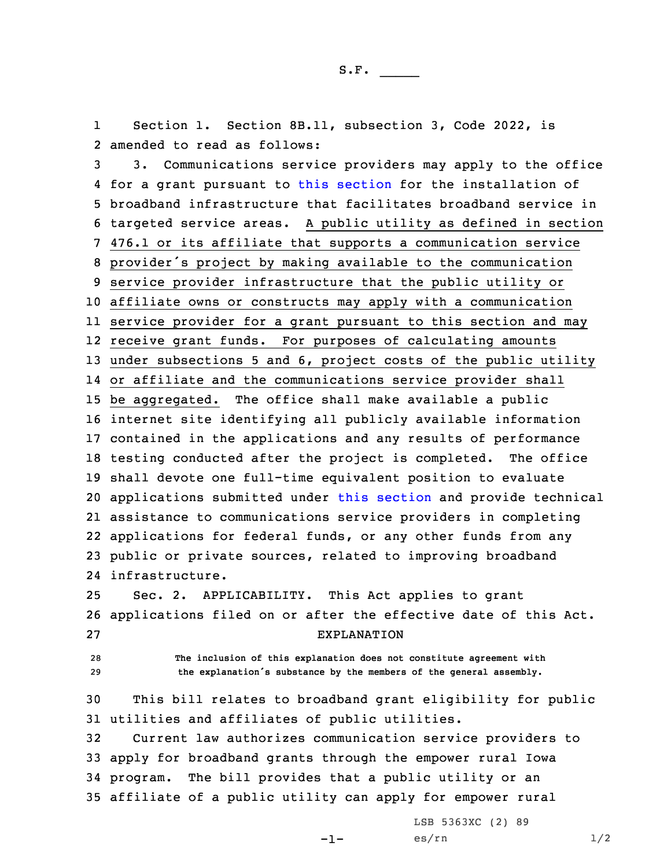1 Section 1. Section 8B.11, subsection 3, Code 2022, is 2 amended to read as follows:

 3. Communications service providers may apply to the office for <sup>a</sup> grant pursuant to this [section](https://www.legis.iowa.gov/docs/code/2022/8B.11.pdf) for the installation of broadband infrastructure that facilitates broadband service in targeted service areas. <sup>A</sup> public utility as defined in section 476.1 or its affiliate that supports <sup>a</sup> communication service provider's project by making available to the communication service provider infrastructure that the public utility or affiliate owns or constructs may apply with <sup>a</sup> communication service provider for <sup>a</sup> grant pursuant to this section and may receive grant funds. For purposes of calculating amounts under subsections 5 and 6, project costs of the public utility or affiliate and the communications service provider shall be aggregated. The office shall make available <sup>a</sup> public internet site identifying all publicly available information contained in the applications and any results of performance testing conducted after the project is completed. The office shall devote one full-time equivalent position to evaluate applications submitted under this [section](https://www.legis.iowa.gov/docs/code/2022/8B.11.pdf) and provide technical assistance to communications service providers in completing applications for federal funds, or any other funds from any public or private sources, related to improving broadband infrastructure.

25 Sec. 2. APPLICABILITY. This Act applies to grant 26 applications filed on or after the effective date of this Act. 27 EXPLANATION

28 **The inclusion of this explanation does not constitute agreement with** <sup>29</sup> **the explanation's substance by the members of the general assembly.**

30 This bill relates to broadband grant eligibility for public 31 utilities and affiliates of public utilities.

 Current law authorizes communication service providers to apply for broadband grants through the empower rural Iowa program. The bill provides that <sup>a</sup> public utility or an affiliate of <sup>a</sup> public utility can apply for empower rural

-1-

LSB 5363XC (2) 89 es/rn  $1/2$